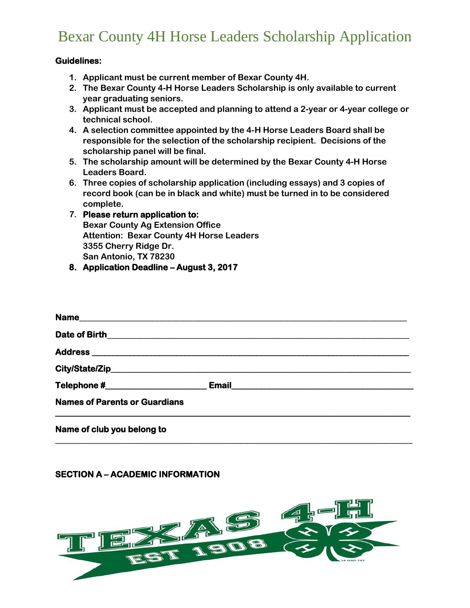# Bexar County 4H Horse Leaders Scholarship Application

### **Guidelines:**

- **1. Applicant must be current member of Bexar County 4H.**
- **2. The Bexar County 4-H Horse Leaders Scholarship is only available to current year graduating seniors.**
- **3. Applicant must be accepted and planning to attend a 2-year or 4-year college or technical school.**
- **4. A selection committee appointed by the 4-H Horse Leaders Board shall be responsible for the selection of the scholarship recipient. Decisions of the scholarship panel will be final.**
- **5. The scholarship amount will be determined by the Bexar County 4-H Horse Leaders Board.**
- **6. Three copies of scholarship application (including essays) and 3 copies of record book (can be in black and white) must be turned in to be considered complete.**
- **7. Please return application to: Bexar County Ag Extension Office Attention: Bexar County 4H Horse Leaders 3355 Cherry Ridge Dr. San Antonio, TX 78230**
- **8. Application Deadline – August 3, 2017**

|                                      | City/State/Zip_error and City/State/Zip_error and City/State/Zip_error and City/State/Zip_error and City/State/ |
|--------------------------------------|-----------------------------------------------------------------------------------------------------------------|
|                                      |                                                                                                                 |
| <b>Names of Parents or Guardians</b> |                                                                                                                 |
|                                      |                                                                                                                 |

# \_\_\_\_\_\_\_\_\_\_\_\_\_\_\_\_\_\_\_\_\_\_\_\_\_\_\_\_\_\_\_\_\_\_\_\_\_\_\_\_\_\_\_\_\_\_\_\_\_\_\_\_\_\_\_\_\_\_\_\_\_\_\_\_\_\_\_\_\_\_\_\_\_\_\_\_\_\_\_\_\_\_\_\_\_

**Name of club you belong to**

### **SECTION A – ACADEMIC INFORMATION**

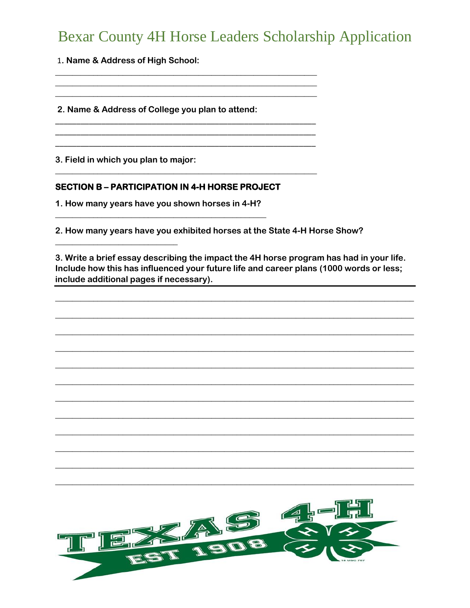# **Bexar County 4H Horse Leaders Scholarship Application**

1. Name & Address of High School:

2. Name & Address of College you plan to attend:

3. Field in which you plan to major:

## **SECTION B - PARTICIPATION IN 4-H HORSE PROJECT**

1. How many years have you shown horses in 4-H?

2. How many years have you exhibited horses at the State 4-H Horse Show?

3. Write a brief essay describing the impact the 4H horse program has had in your life. Include how this has influenced your future life and career plans (1000 words or less; include additional pages if necessary).

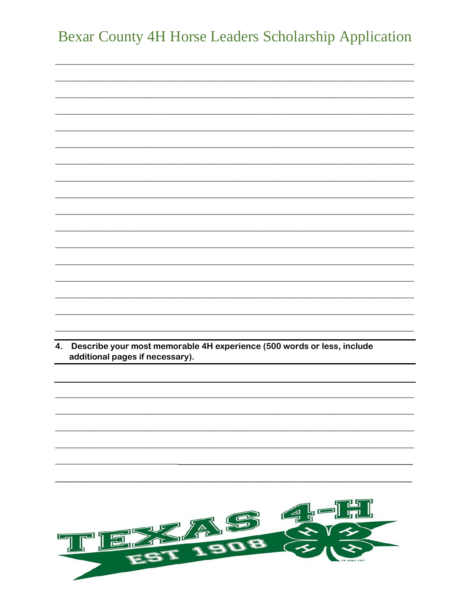|    | <b>Bexar County 4H Horse Leaders Scholarship Application</b>                                              |     |
|----|-----------------------------------------------------------------------------------------------------------|-----|
|    |                                                                                                           |     |
|    |                                                                                                           |     |
|    |                                                                                                           |     |
|    |                                                                                                           |     |
|    |                                                                                                           |     |
|    |                                                                                                           |     |
|    |                                                                                                           |     |
|    |                                                                                                           |     |
|    |                                                                                                           |     |
|    |                                                                                                           |     |
|    |                                                                                                           |     |
|    |                                                                                                           |     |
|    |                                                                                                           |     |
|    |                                                                                                           |     |
| 4. | Describe your most memorable 4H experience (500 words or less, include<br>additional pages if necessary). |     |
|    |                                                                                                           |     |
|    |                                                                                                           |     |
|    |                                                                                                           |     |
|    |                                                                                                           |     |
|    |                                                                                                           |     |
|    |                                                                                                           |     |
|    |                                                                                                           |     |
|    |                                                                                                           |     |
|    | A                                                                                                         | S G |